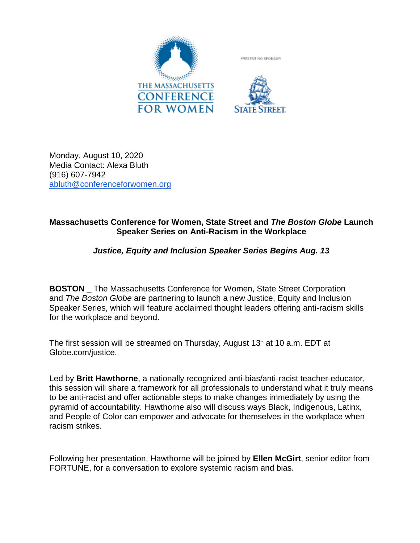

Monday, August 10, 2020 Media Contact: Alexa Bluth (916) 607-7942 [abluth@conferenceforwomen.org](mailto:abluth@conferenceforwomen.org)

## **Massachusetts Conference for Women, State Street and** *The Boston Globe* **Launch Speaker Series on Anti-Racism in the Workplace**

## *Justice, Equity and Inclusion Speaker Series Begins Aug. 13*

**BOSTON** The Massachusetts Conference for Women, State Street Corporation and *The Boston Globe* are partnering to launch a new Justice, Equity and Inclusion Speaker Series, which will feature acclaimed thought leaders offering anti-racism skills for the workplace and beyond.

The first session will be streamed on Thursday, August  $13<sup>th</sup>$  at 10 a.m. EDT at Globe.com/justice.

Led by **Britt Hawthorne**, a nationally recognized anti-bias/anti-racist teacher-educator, this session will share a framework for all professionals to understand what it truly means to be anti-racist and offer actionable steps to make changes immediately by using the pyramid of accountability. Hawthorne also will discuss ways Black, Indigenous, Latinx, and People of Color can empower and advocate for themselves in the workplace when racism strikes.

Following her presentation, Hawthorne will be joined by **Ellen McGirt**, senior editor from FORTUNE, for a conversation to explore systemic racism and bias.